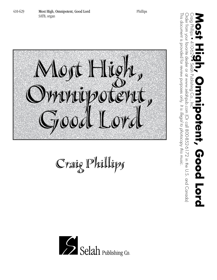

Craig Phillips



Order from Your diversion Condalogie of Condal BOO852-6172 in the U.S. and Condation www.sels.com Condator or and Condation Supplier or and Condation Andrian Supplier or and Condation Supplier from New True of the D.S. and Order from your favorite dealer or at www.selahpub.com (Or call 800-852-6172 in the U.S. and Canada) Craig Phillips • 410-629 • Selah Publishing Co., Inc. **Most High, Omnipotent, Good Lord** otent, Good Lord

This document is provided for review purposes only. It is illegal to photocopy this music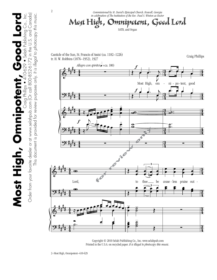

 Copyright © 2010 Selah Publishing Co., Inc. www.selahpub.com Printed in the U.S.A. on recycled paper. *It is illegal to photocopy this music.* 

2–Most High, Omnipotent–410-629

**Most High, Omnipotent, Good Lord** Craig Phillips • 410-629 • Selah Publishing Co., Inc.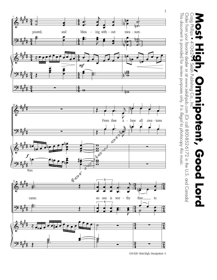

410-629–Most High, Omnipotent–3

3

This document is provided for review purposes only.

Craig Phillips<br>Craig Phillips

410-62

Selah Publishing

 $\bigcirc$ 

ე<br>ს

This document is provided for review purposes only. It is illegal to photocopy this music.

Order from your favorite dealer or at www.selahpub.com (Or call 800-852-6172 in the U.S. and Canada)

Order from your favorite dealer or at www.selahpub.com (Or call 800-852-6172 in the U.S. and Canada)

*It is illegal to photocopy this music.*

Craig Phillips • 410-629 • Selah Publishing Co., Inc. **Most High, Omnipotent, Good Lord**

potent, Good Lord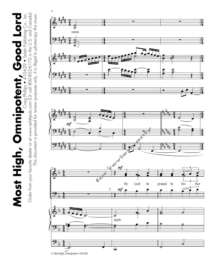Craig Phillips • 410-629 • Selah Publishing Co., Inc.<br>Order from your favorite dealer or at www.selahpub.com (Or call 800-852-6172 in the U.S. and Canada) Order from your favorite dealer or at www.selahpub.com (Or call 800-852-6172 in the U.S. and Canada) **Most High, Omnipotent, Good Lord** Craig Phillips • 410-629 • Selah Publishing Co., Inc. Most High, Omnipotent, Good Lord

This document is provided for review purposes only. *It is illegal to photocopy this music.*

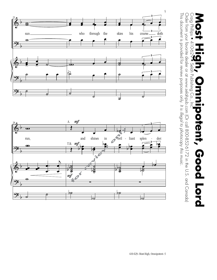

Order from your favorite dealer or at www.selahpub.com (Or call 800-852-6172 in the U.S. and Canada) This document is provided for review purposes only. It is illegal to photocopy this music. This document is provided for review purposes only. Order from your favorite dealer or at www.selahpub.com (Or call 800-852-6172 in the U.S. and Canada) *It is illegal to photocopy this music.*



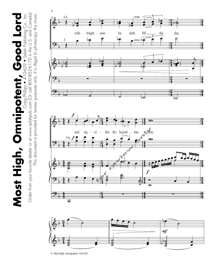Craig Phillips • 410-629 • Selah Publishing Co., Inc.<br>Order from your favorite dealer or at www.selahpub.com (Or call 800-852-6172 in the U.S. and Canada) Order from your favorite dealer or at www.selahpub.com (Or call 800-852-6172 in the U.S. and Canada) **Most High, Omnipotent, Good Lord** Craig Phillips • 410-629 • Selah Publishing Co., Inc. Most High, Omnipotent, Good Lord

This document is provided for review purposes only. *It is illegal to photocopy this music.*





<sup>6–</sup>Most High, Omnipotent–410-629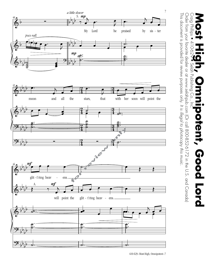

<sup>410-629–</sup>Most High, Omnipotent–7

Craig Phillips

410-62

Selah Publishing

 $\bigcirc$ 

This document is provided for review purposes only. It is illegal to photocopy this music.

Order from your favorite dealer or at www.selahpub.com (Or call 800-852-6172 in the U.S. and Canada)

Order from your favorite dealer or at www.selahpub.com (Or call 800-852-6172 in the U.S. and Canada)

*It is illegal to photocopy this music.*

Craig Phillips • 410-629 • Selah Publishing Co., Inc. **Most High, Omnipotent, Good Lord**

potent, Good Lord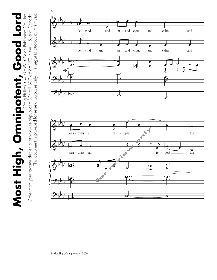Craig Phillips • 410-629 • Selah Publishing Co., Inc.<br>Order from your favorite dealer or at www.selahpub.com (Or call 800-852-6172 in the U.S. and Canada) Order from your favorite dealer or at www.selahpub.com (Or call 800-852-6172 in the U.S. and Canada) **Most High, Omnipotent, Good Lord** Craig Phillips • 410-629 • Selah Publishing Co., Inc. This document is provided for review purposes only. It is illegal to photocopy this music. Most High, Omnipotent, Good Lord



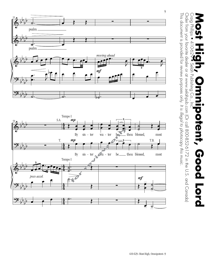



This document is provided for review purposes only. It is illegal to photocopy this music.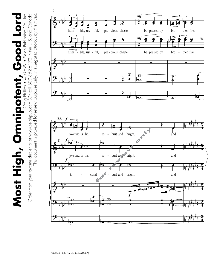Most High, Omnipotent, Good Lord<br>Order from your favorite dealer or at www.selahpub.com (Or call 800-852-6172 in the U.S. and Canada) Order from your favorite dealer or at www.selahpub.com (Or call 800-852-6172 in the U.S. and Canada) **Most High, Omnipotent, Good Lord** Craig Phillips • 410-629 • Selah Publishing Co., Inc.

This document is provided for review purposes only. *It is illegal to photocopy this music.*

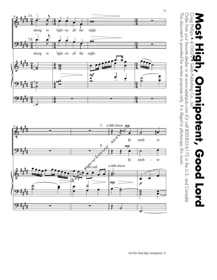

This document is provided for review purposes only. It is illegal to photocopy this music.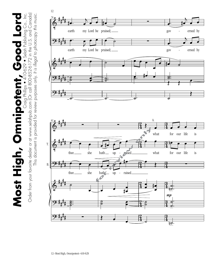Craig Phillips • 410-629 • Selah Publishing Co., Inc.<br>Order from your favorite dealer or at www.selahpub.com (Or call 800-852-6172 in the U.S. and Canada) Order from your favorite dealer or at www.selahpub.com (Or call 800-852-6172 in the U.S. and Canada) **Most High, Omnipotent, Good Lord** Craig Phillips • 410-629 • Selah Publishing Co., Inc. Most High, Omnipotent, Good Lord

This document is provided for review purposes only. *It is illegal to photocopy this music.*

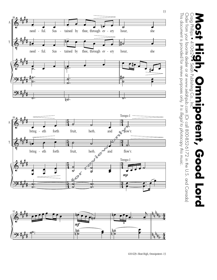



Order from your favorite dealer or at www.selahpub.com (Or call 800-852-6172 in the U.S. and Canada) Order from your favorite dealer or at www.selahpub.com (Or call 800-852-6172 in the U.S. and Canada) Craig Phillips Craig Phillips • 410-629 • Selah Publishing Co., Inc. **Most High, Omnipotent, Good Lord** 410-62 Selah Publishing  $\bigodot$ potent, Good Lord

This document is provided for review purposes only.

This document is provided for review purposes only. It is illegal to photocopy this music.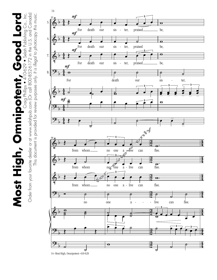Craig Philips • 410-629 • Selah Publishing Co., Inc.<br>Order from your favorite dealer or at www.selahpub.com (Or call 800-852-6172 in the U.S. and Canada) Order from your favorite dealer or at www.selahpub.com (Or call 800-852-6172 in the U.S. and Canada) **Most High, Omnipotent, Good Lord** Craig Phillips • 410-629 • Selah Publishing Co., Inc. Most High, Omnipotent, Good Lord

This document is provided for review purposes only. *It is illegal to photocopy this music.*

This document is provided for review purposes only. It is illegal to photocopy this music.



14–Most High, Omnipotent–410-629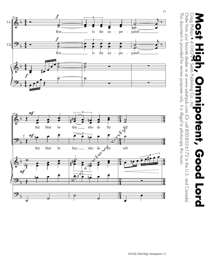



This document is provided for review purposes only. It is illegal to photocopy this music.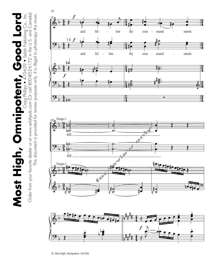**Most High, Omnipotent, Good Lord** Craig Phillips • 410-629 • Selah Publishing Co., Inc. Most High, Omnipotent, Good Lord

Craig Phillips • 410-629 • Selah Publishing Co., Inc.<br>Order from your favorite dealer or at www.selahpub.com (Or call 800-852-6172 in the U.S. and Canada) Order from your favorite dealer or at www.selahpub.com (Or call 800-852-6172 in the U.S. and Canada) This document is provided for review purposes only. It is illegal to photocopy this music. This document is provided for review purposes only. *It is illegal to photocopy this music.*





16–Most High, Omnipotent–410-629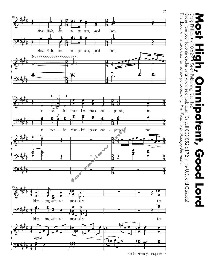

<sup>410-629–</sup>Most High, Omnipotent–17

17

This document is provided for review purposes only.

Craig Phillips

410-62

Selah Publishing

 $\bigodot$ 

This document is provided for review purposes only. It is illegal to photocopy this music.

Order from your favorite dealer or at www.selahpub.com (Or call 800-852-6172 in the U.S. and Canada)

Order from your favorite dealer or at www.selahpub.com (Or call 800-852-6172 in the U.S. and Canada)

*It is illegal to photocopy this music.*

Craig Phillips • 410-629 • Selah Publishing Co., Inc. **Most High, Omnipotent, Good Lord**

potent, Good Lord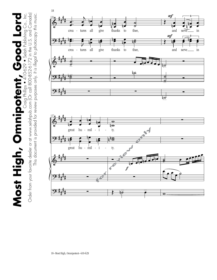Most High, Omnipotent, Good Lord<br>Order from your favorite dealer or at www.selahopub.com (Or call 800-852-6172 in the U.S. and Canada) Order from your favorite dealer or at www.selahpub.com (Or call 800-852-6172 in the U.S. and Canada) **Most High, Omnipotent, Good Lord** Craig Phillips • 410-629 • Selah Publishing Co., Inc.

This document is provided for review purposes only. *It is illegal to photocopy this music.*